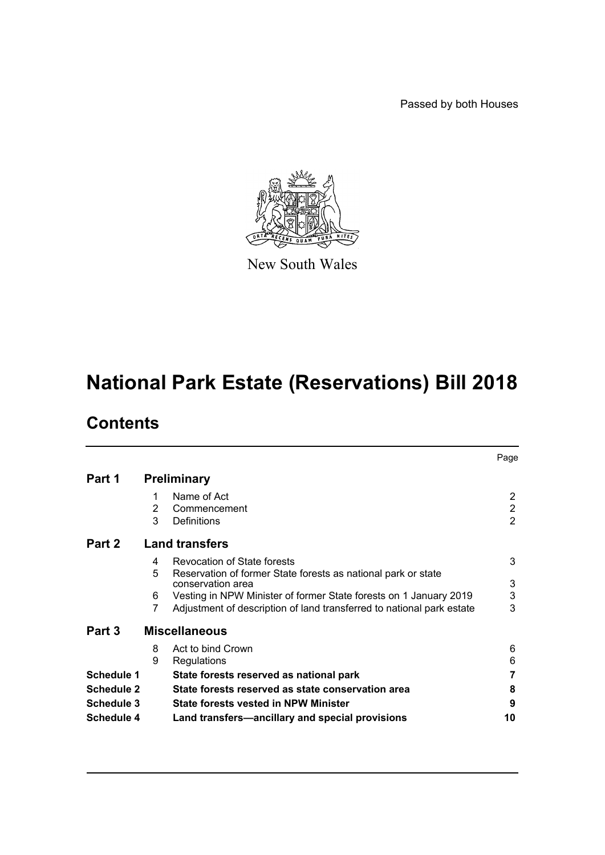Passed by both Houses



New South Wales

# **National Park Estate (Reservations) Bill 2018**

## **Contents**

|                   |                       |                                                                       | Page           |
|-------------------|-----------------------|-----------------------------------------------------------------------|----------------|
| Part 1            | <b>Preliminary</b>    |                                                                       |                |
|                   | 1                     | Name of Act                                                           | 2              |
|                   | 2                     | Commencement                                                          | $\overline{2}$ |
|                   | 3                     | Definitions                                                           | $\overline{2}$ |
| Part 2            | <b>Land transfers</b> |                                                                       |                |
|                   | 4                     | <b>Revocation of State forests</b>                                    | 3              |
|                   | 5                     | Reservation of former State forests as national park or state         |                |
|                   |                       | conservation area                                                     | 3              |
|                   | 6                     | Vesting in NPW Minister of former State forests on 1 January 2019     | 3              |
|                   | 7                     | Adjustment of description of land transferred to national park estate | 3              |
| Part 3            |                       | <b>Miscellaneous</b>                                                  |                |
|                   | 8                     | Act to bind Crown                                                     | 6              |
|                   | 9                     | Regulations                                                           | 6              |
| <b>Schedule 1</b> |                       | State forests reserved as national park                               | 7              |
| <b>Schedule 2</b> |                       | State forests reserved as state conservation area                     | 8              |
| Schedule 3        |                       | <b>State forests vested in NPW Minister</b>                           | 9              |
| <b>Schedule 4</b> |                       | Land transfers—ancillary and special provisions                       | 10             |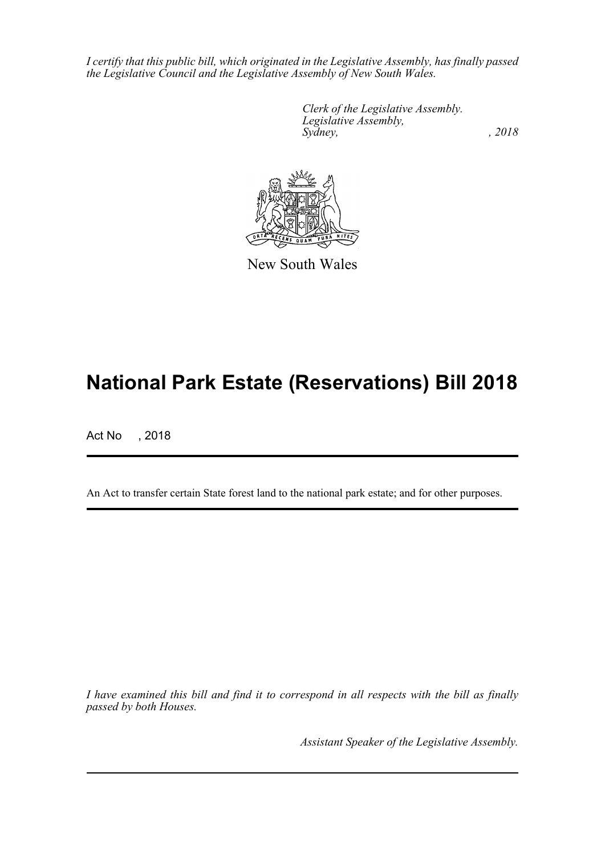*I certify that this public bill, which originated in the Legislative Assembly, has finally passed the Legislative Council and the Legislative Assembly of New South Wales.*

> *Clerk of the Legislative Assembly. Legislative Assembly, Sydney, , 2018*



New South Wales

## **National Park Estate (Reservations) Bill 2018**

Act No , 2018

An Act to transfer certain State forest land to the national park estate; and for other purposes.

*I have examined this bill and find it to correspond in all respects with the bill as finally passed by both Houses.*

*Assistant Speaker of the Legislative Assembly.*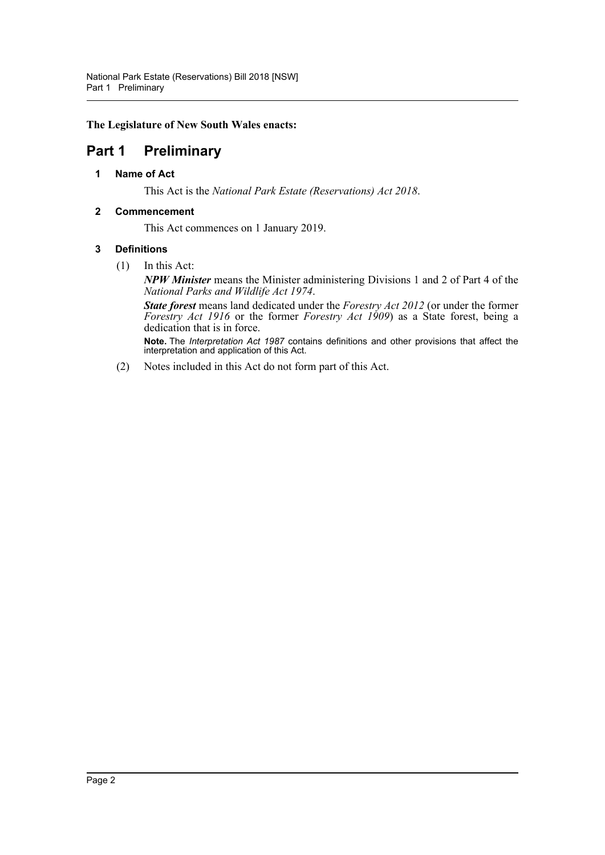**The Legislature of New South Wales enacts:**

### <span id="page-2-1"></span><span id="page-2-0"></span>**Part 1 Preliminary**

**1 Name of Act**

This Act is the *National Park Estate (Reservations) Act 2018*.

### <span id="page-2-2"></span>**2 Commencement**

This Act commences on 1 January 2019.

### <span id="page-2-3"></span>**3 Definitions**

(1) In this Act:

*NPW Minister* means the Minister administering Divisions 1 and 2 of Part 4 of the *National Parks and Wildlife Act 1974*.

*State forest* means land dedicated under the *Forestry Act 2012* (or under the former *Forestry Act 1916* or the former *Forestry Act 1909*) as a State forest, being a dedication that is in force.

**Note.** The *Interpretation Act 1987* contains definitions and other provisions that affect the interpretation and application of this Act.

(2) Notes included in this Act do not form part of this Act.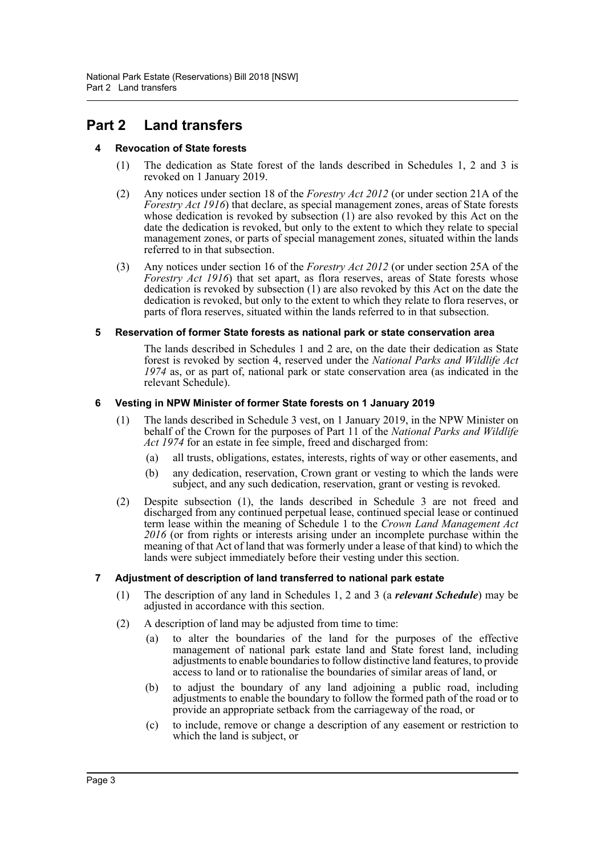### <span id="page-3-1"></span><span id="page-3-0"></span>**Part 2 Land transfers**

### **4 Revocation of State forests**

- (1) The dedication as State forest of the lands described in Schedules 1, 2 and 3 is revoked on 1 January 2019.
- (2) Any notices under section 18 of the *Forestry Act 2012* (or under section 21A of the *Forestry Act 1916*) that declare, as special management zones, areas of State forests whose dedication is revoked by subsection (1) are also revoked by this Act on the date the dedication is revoked, but only to the extent to which they relate to special management zones, or parts of special management zones, situated within the lands referred to in that subsection.
- (3) Any notices under section 16 of the *Forestry Act 2012* (or under section 25A of the *Forestry Act 1916*) that set apart, as flora reserves, areas of State forests whose dedication is revoked by subsection (1) are also revoked by this Act on the date the dedication is revoked, but only to the extent to which they relate to flora reserves, or parts of flora reserves, situated within the lands referred to in that subsection.

#### <span id="page-3-2"></span>**5 Reservation of former State forests as national park or state conservation area**

The lands described in Schedules 1 and 2 are, on the date their dedication as State forest is revoked by section 4, reserved under the *National Parks and Wildlife Act 1974* as, or as part of, national park or state conservation area (as indicated in the relevant Schedule).

#### <span id="page-3-3"></span>**6 Vesting in NPW Minister of former State forests on 1 January 2019**

- (1) The lands described in Schedule 3 vest, on 1 January 2019, in the NPW Minister on behalf of the Crown for the purposes of Part 11 of the *National Parks and Wildlife Act 1974* for an estate in fee simple, freed and discharged from:
	- (a) all trusts, obligations, estates, interests, rights of way or other easements, and
	- (b) any dedication, reservation, Crown grant or vesting to which the lands were subject, and any such dedication, reservation, grant or vesting is revoked.
- (2) Despite subsection (1), the lands described in Schedule 3 are not freed and discharged from any continued perpetual lease, continued special lease or continued term lease within the meaning of Schedule 1 to the *Crown Land Management Act 2016* (or from rights or interests arising under an incomplete purchase within the meaning of that Act of land that was formerly under a lease of that kind) to which the lands were subject immediately before their vesting under this section.

#### <span id="page-3-4"></span>**7 Adjustment of description of land transferred to national park estate**

- (1) The description of any land in Schedules 1, 2 and 3 (a *relevant Schedule*) may be adjusted in accordance with this section.
- (2) A description of land may be adjusted from time to time:
	- (a) to alter the boundaries of the land for the purposes of the effective management of national park estate land and State forest land, including adjustments to enable boundaries to follow distinctive land features, to provide access to land or to rationalise the boundaries of similar areas of land, or
	- (b) to adjust the boundary of any land adjoining a public road, including adjustments to enable the boundary to follow the formed path of the road or to provide an appropriate setback from the carriageway of the road, or
	- (c) to include, remove or change a description of any easement or restriction to which the land is subject, or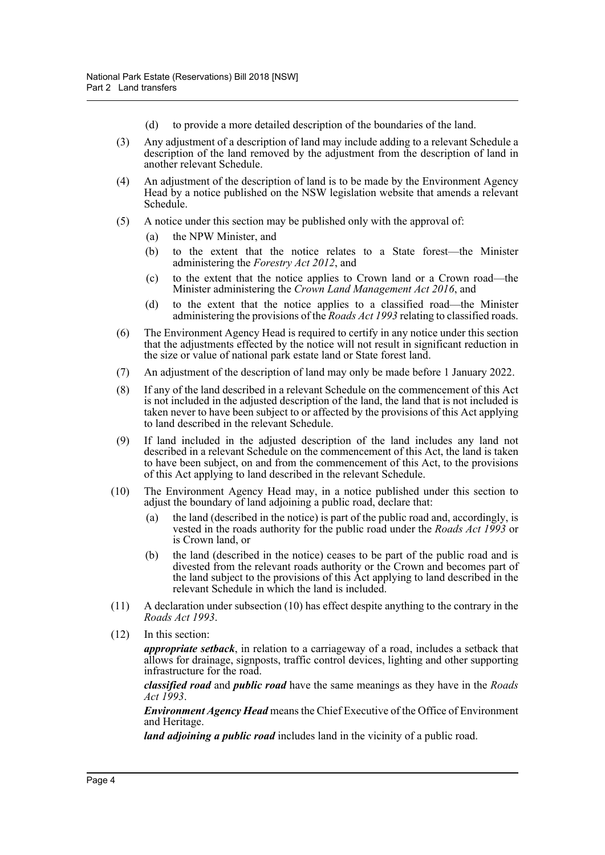- (d) to provide a more detailed description of the boundaries of the land.
- (3) Any adjustment of a description of land may include adding to a relevant Schedule a description of the land removed by the adjustment from the description of land in another relevant Schedule.
- (4) An adjustment of the description of land is to be made by the Environment Agency Head by a notice published on the NSW legislation website that amends a relevant Schedule.
- (5) A notice under this section may be published only with the approval of:
	- (a) the NPW Minister, and
	- (b) to the extent that the notice relates to a State forest—the Minister administering the *Forestry Act 2012*, and
	- (c) to the extent that the notice applies to Crown land or a Crown road—the Minister administering the *Crown Land Management Act 2016*, and
	- (d) to the extent that the notice applies to a classified road—the Minister administering the provisions of the *Roads Act 1993* relating to classified roads.
- (6) The Environment Agency Head is required to certify in any notice under this section that the adjustments effected by the notice will not result in significant reduction in the size or value of national park estate land or State forest land.
- (7) An adjustment of the description of land may only be made before 1 January 2022.
- (8) If any of the land described in a relevant Schedule on the commencement of this Act is not included in the adjusted description of the land, the land that is not included is taken never to have been subject to or affected by the provisions of this Act applying to land described in the relevant Schedule.
- (9) If land included in the adjusted description of the land includes any land not described in a relevant Schedule on the commencement of this Act, the land is taken to have been subject, on and from the commencement of this Act, to the provisions of this Act applying to land described in the relevant Schedule.
- (10) The Environment Agency Head may, in a notice published under this section to adjust the boundary of land adjoining a public road, declare that:
	- (a) the land (described in the notice) is part of the public road and, accordingly, is vested in the roads authority for the public road under the *Roads Act 1993* or is Crown land, or
	- (b) the land (described in the notice) ceases to be part of the public road and is divested from the relevant roads authority or the Crown and becomes part of the land subject to the provisions of this Act applying to land described in the relevant Schedule in which the land is included.
- (11) A declaration under subsection (10) has effect despite anything to the contrary in the *Roads Act 1993*.
- (12) In this section:

*appropriate setback*, in relation to a carriageway of a road, includes a setback that allows for drainage, signposts, traffic control devices, lighting and other supporting infrastructure for the road.

*classified road* and *public road* have the same meanings as they have in the *Roads Act 1993*.

*Environment Agency Head* means the Chief Executive of the Office of Environment and Heritage.

*land adjoining a public road* includes land in the vicinity of a public road.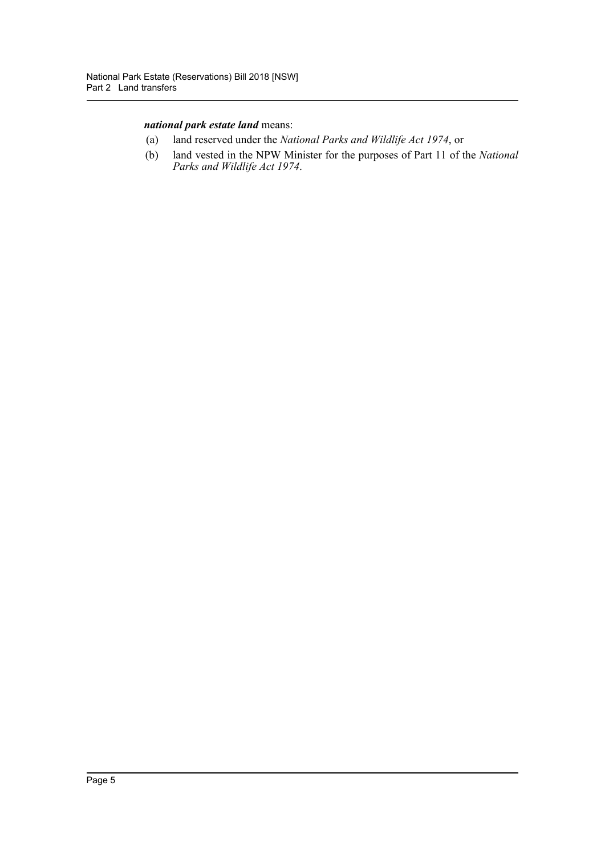### *national park estate land* means:

- (a) land reserved under the *National Parks and Wildlife Act 1974*, or
- (b) land vested in the NPW Minister for the purposes of Part 11 of the *National Parks and Wildlife Act 1974*.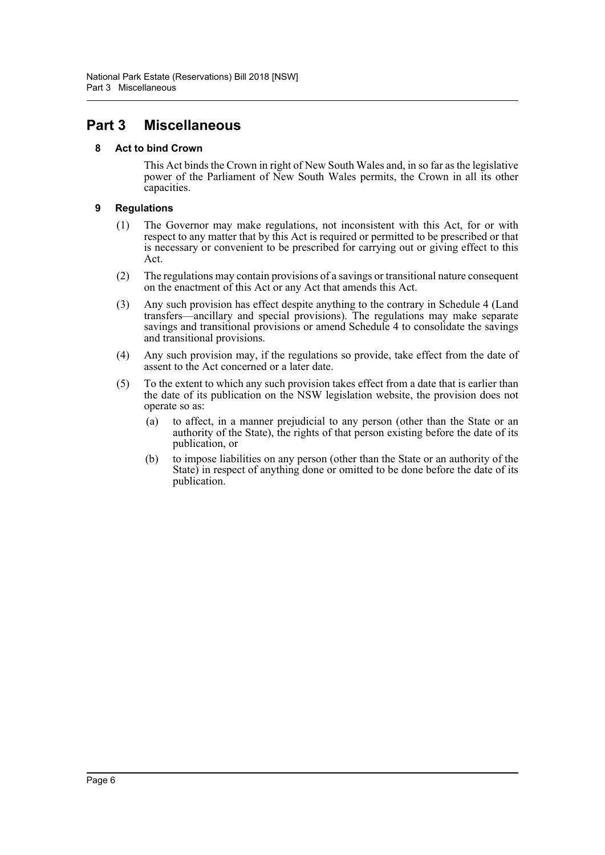### <span id="page-6-1"></span><span id="page-6-0"></span>**Part 3 Miscellaneous**

### **8 Act to bind Crown**

This Act binds the Crown in right of New South Wales and, in so far as the legislative power of the Parliament of New South Wales permits, the Crown in all its other capacities.

### <span id="page-6-2"></span>**9 Regulations**

- (1) The Governor may make regulations, not inconsistent with this Act, for or with respect to any matter that by this Act is required or permitted to be prescribed or that is necessary or convenient to be prescribed for carrying out or giving effect to this Act.
- (2) The regulations may contain provisions of a savings or transitional nature consequent on the enactment of this Act or any Act that amends this Act.
- (3) Any such provision has effect despite anything to the contrary in Schedule 4 (Land transfers—ancillary and special provisions). The regulations may make separate savings and transitional provisions or amend Schedule 4 to consolidate the savings and transitional provisions.
- (4) Any such provision may, if the regulations so provide, take effect from the date of assent to the Act concerned or a later date.
- (5) To the extent to which any such provision takes effect from a date that is earlier than the date of its publication on the NSW legislation website, the provision does not operate so as:
	- (a) to affect, in a manner prejudicial to any person (other than the State or an authority of the State), the rights of that person existing before the date of its publication, or
	- (b) to impose liabilities on any person (other than the State or an authority of the State) in respect of anything done or omitted to be done before the date of its publication.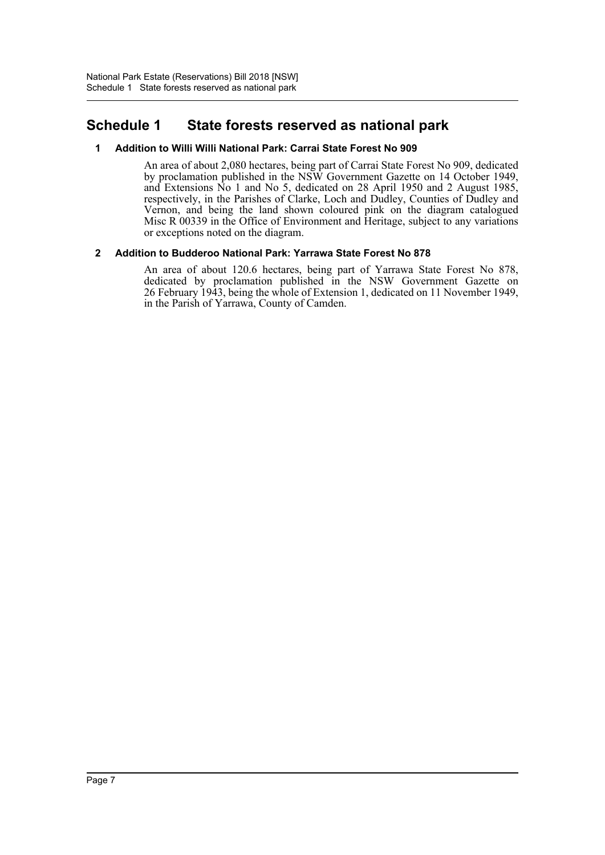### <span id="page-7-0"></span>**Schedule 1 State forests reserved as national park**

### **1 Addition to Willi Willi National Park: Carrai State Forest No 909**

An area of about 2,080 hectares, being part of Carrai State Forest No 909, dedicated by proclamation published in the NSW Government Gazette on 14 October 1949, and Extensions No 1 and No 5, dedicated on 28 April 1950 and 2 August 1985, respectively, in the Parishes of Clarke, Loch and Dudley, Counties of Dudley and Vernon, and being the land shown coloured pink on the diagram catalogued Misc R 00339 in the Office of Environment and Heritage, subject to any variations or exceptions noted on the diagram.

### **2 Addition to Budderoo National Park: Yarrawa State Forest No 878**

An area of about 120.6 hectares, being part of Yarrawa State Forest No 878, dedicated by proclamation published in the NSW Government Gazette on 26 February 1943, being the whole of Extension 1, dedicated on 11 November 1949, in the Parish of Yarrawa, County of Camden.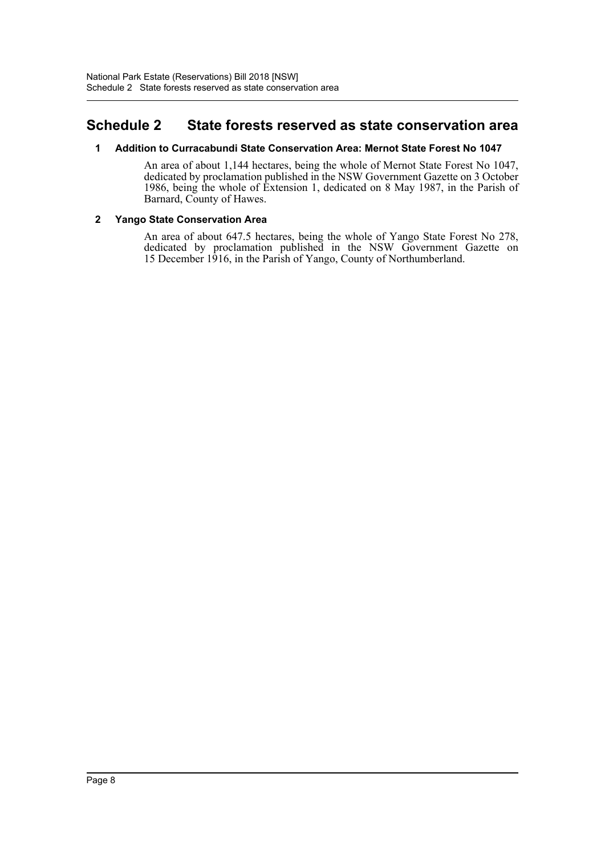### <span id="page-8-0"></span>**Schedule 2 State forests reserved as state conservation area**

### **1 Addition to Curracabundi State Conservation Area: Mernot State Forest No 1047**

An area of about 1,144 hectares, being the whole of Mernot State Forest No 1047, dedicated by proclamation published in the NSW Government Gazette on 3 October 1986, being the whole of Extension 1, dedicated on 8 May 1987, in the Parish of Barnard, County of Hawes.

### **2 Yango State Conservation Area**

An area of about 647.5 hectares, being the whole of Yango State Forest No 278, dedicated by proclamation published in the NSW Government Gazette on 15 December 1916, in the Parish of Yango, County of Northumberland.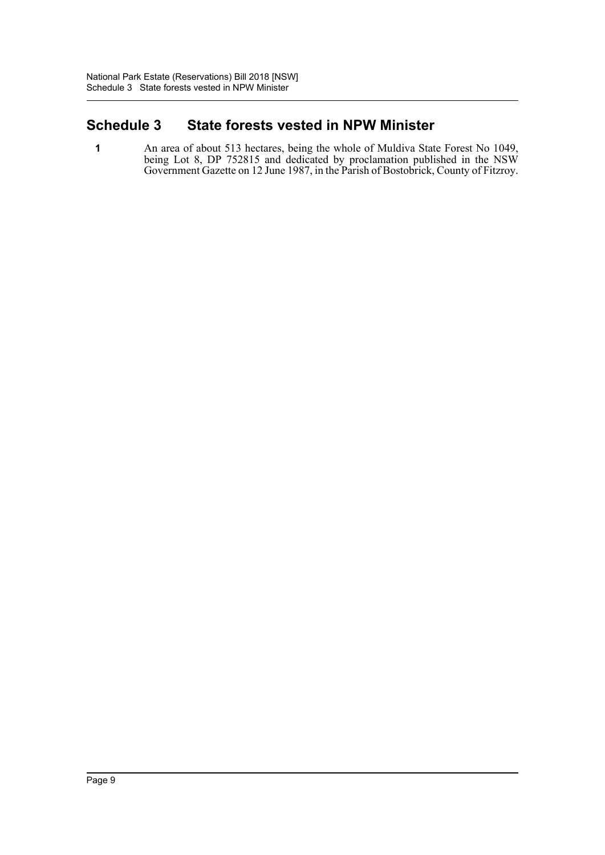### <span id="page-9-0"></span>**Schedule 3 State forests vested in NPW Minister**

**1** An area of about 513 hectares, being the whole of Muldiva State Forest No 1049, being Lot 8, DP 752815 and dedicated by proclamation published in the NSW Government Gazette on 12 June 1987, in the Parish of Bostobrick, County of Fitzroy.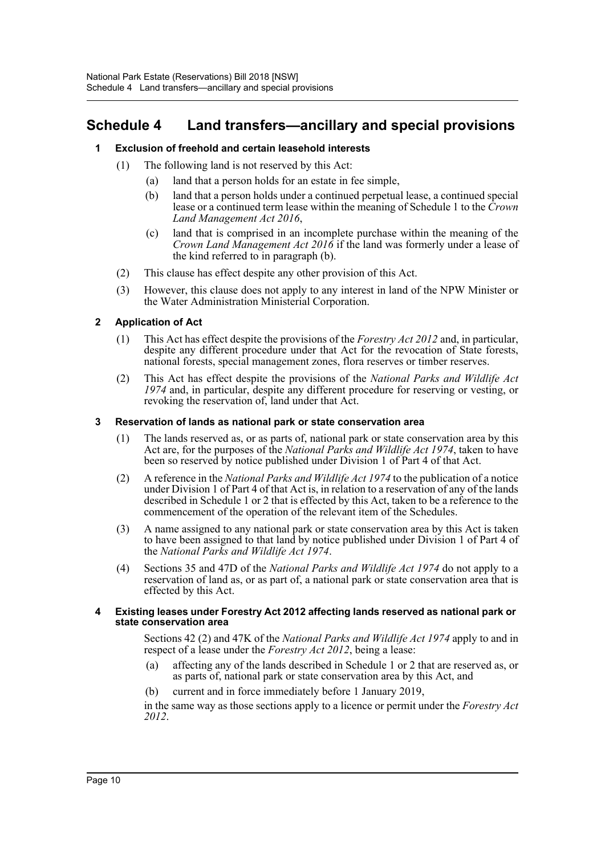### <span id="page-10-0"></span>**Schedule 4 Land transfers—ancillary and special provisions**

### **1 Exclusion of freehold and certain leasehold interests**

- (1) The following land is not reserved by this Act:
	- (a) land that a person holds for an estate in fee simple,
	- (b) land that a person holds under a continued perpetual lease, a continued special lease or a continued term lease within the meaning of Schedule 1 to the *Crown Land Management Act 2016*,
	- (c) land that is comprised in an incomplete purchase within the meaning of the *Crown Land Management Act 2016* if the land was formerly under a lease of the kind referred to in paragraph (b).
- (2) This clause has effect despite any other provision of this Act.
- (3) However, this clause does not apply to any interest in land of the NPW Minister or the Water Administration Ministerial Corporation.

### **2 Application of Act**

- (1) This Act has effect despite the provisions of the *Forestry Act 2012* and, in particular, despite any different procedure under that Act for the revocation of State forests, national forests, special management zones, flora reserves or timber reserves.
- (2) This Act has effect despite the provisions of the *National Parks and Wildlife Act 1974* and, in particular, despite any different procedure for reserving or vesting, or revoking the reservation of, land under that Act.

### **3 Reservation of lands as national park or state conservation area**

- (1) The lands reserved as, or as parts of, national park or state conservation area by this Act are, for the purposes of the *National Parks and Wildlife Act 1974*, taken to have been so reserved by notice published under Division 1 of Part 4 of that Act.
- (2) A reference in the *National Parks and Wildlife Act 1974* to the publication of a notice under Division 1 of Part 4 of that Act is, in relation to a reservation of any of the lands described in Schedule 1 or 2 that is effected by this Act, taken to be a reference to the commencement of the operation of the relevant item of the Schedules.
- (3) A name assigned to any national park or state conservation area by this Act is taken to have been assigned to that land by notice published under Division 1 of Part 4 of the *National Parks and Wildlife Act 1974*.
- (4) Sections 35 and 47D of the *National Parks and Wildlife Act 1974* do not apply to a reservation of land as, or as part of, a national park or state conservation area that is effected by this Act.

#### **4 Existing leases under Forestry Act 2012 affecting lands reserved as national park or state conservation area**

Sections 42 (2) and 47K of the *National Parks and Wildlife Act 1974* apply to and in respect of a lease under the *Forestry Act 2012*, being a lease:

- (a) affecting any of the lands described in Schedule 1 or 2 that are reserved as, or as parts of, national park or state conservation area by this Act, and
- (b) current and in force immediately before 1 January 2019,

in the same way as those sections apply to a licence or permit under the *Forestry Act 2012*.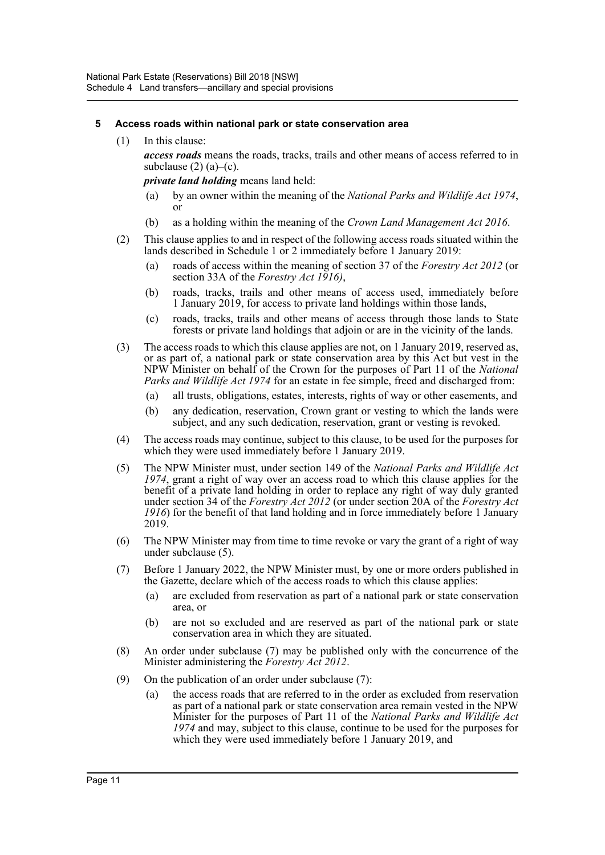### **5 Access roads within national park or state conservation area**

(1) In this clause:

*access roads* means the roads, tracks, trails and other means of access referred to in subclause  $(2)$   $(a)$ – $(c)$ .

*private land holding* means land held:

- (a) by an owner within the meaning of the *National Parks and Wildlife Act 1974*, or
- (b) as a holding within the meaning of the *Crown Land Management Act 2016*.
- (2) This clause applies to and in respect of the following access roads situated within the lands described in Schedule 1 or 2 immediately before 1 January 2019:
	- (a) roads of access within the meaning of section 37 of the *Forestry Act 2012* (or section 33A of the *Forestry Act 1916)*,
	- (b) roads, tracks, trails and other means of access used, immediately before 1 January 2019, for access to private land holdings within those lands,
	- (c) roads, tracks, trails and other means of access through those lands to State forests or private land holdings that adjoin or are in the vicinity of the lands.
- (3) The access roads to which this clause applies are not, on 1 January 2019, reserved as, or as part of, a national park or state conservation area by this Act but vest in the NPW Minister on behalf of the Crown for the purposes of Part 11 of the *National Parks and Wildlife Act 1974* for an estate in fee simple, freed and discharged from:
	- (a) all trusts, obligations, estates, interests, rights of way or other easements, and
	- (b) any dedication, reservation, Crown grant or vesting to which the lands were subject, and any such dedication, reservation, grant or vesting is revoked.
- (4) The access roads may continue, subject to this clause, to be used for the purposes for which they were used immediately before 1 January 2019.
- (5) The NPW Minister must, under section 149 of the *National Parks and Wildlife Act 1974*, grant a right of way over an access road to which this clause applies for the benefit of a private land holding in order to replace any right of way duly granted under section 34 of the *Forestry Act 2012* (or under section 20A of the *Forestry Act 1916*) for the benefit of that land holding and in force immediately before 1 January 2019.
- (6) The NPW Minister may from time to time revoke or vary the grant of a right of way under subclause (5).
- (7) Before 1 January 2022, the NPW Minister must, by one or more orders published in the Gazette, declare which of the access roads to which this clause applies:
	- (a) are excluded from reservation as part of a national park or state conservation area, or
	- (b) are not so excluded and are reserved as part of the national park or state conservation area in which they are situated.
- (8) An order under subclause (7) may be published only with the concurrence of the Minister administering the *Forestry Act 2012*.
- (9) On the publication of an order under subclause (7):
	- (a) the access roads that are referred to in the order as excluded from reservation as part of a national park or state conservation area remain vested in the NPW Minister for the purposes of Part 11 of the *National Parks and Wildlife Act 1974* and may, subject to this clause, continue to be used for the purposes for which they were used immediately before 1 January 2019, and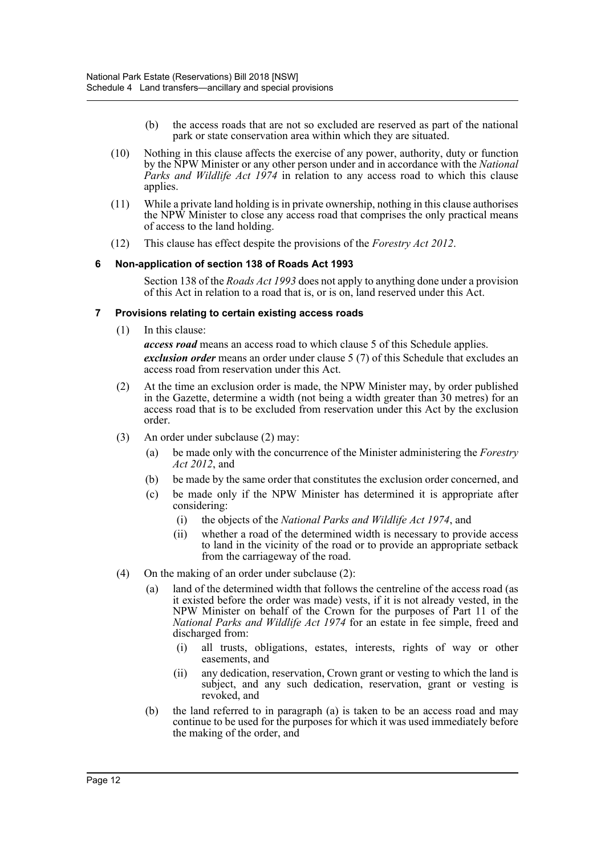- (b) the access roads that are not so excluded are reserved as part of the national park or state conservation area within which they are situated.
- (10) Nothing in this clause affects the exercise of any power, authority, duty or function by the NPW Minister or any other person under and in accordance with the *National Parks and Wildlife Act 1974* in relation to any access road to which this clause applies.
- (11) While a private land holding is in private ownership, nothing in this clause authorises the NPW Minister to close any access road that comprises the only practical means of access to the land holding.
- (12) This clause has effect despite the provisions of the *Forestry Act 2012*.

#### **6 Non-application of section 138 of Roads Act 1993**

Section 138 of the *Roads Act 1993* does not apply to anything done under a provision of this Act in relation to a road that is, or is on, land reserved under this Act.

#### **7 Provisions relating to certain existing access roads**

(1) In this clause:

*access road* means an access road to which clause 5 of this Schedule applies. *exclusion order* means an order under clause 5 (7) of this Schedule that excludes an access road from reservation under this Act.

- (2) At the time an exclusion order is made, the NPW Minister may, by order published in the Gazette, determine a width (not being a width greater than 30 metres) for an access road that is to be excluded from reservation under this Act by the exclusion order.
- (3) An order under subclause (2) may:
	- (a) be made only with the concurrence of the Minister administering the *Forestry Act 2012*, and
	- (b) be made by the same order that constitutes the exclusion order concerned, and
	- (c) be made only if the NPW Minister has determined it is appropriate after considering:
		- (i) the objects of the *National Parks and Wildlife Act 1974*, and
		- (ii) whether a road of the determined width is necessary to provide access to land in the vicinity of the road or to provide an appropriate setback from the carriageway of the road.
- (4) On the making of an order under subclause (2):
	- (a) land of the determined width that follows the centreline of the access road (as it existed before the order was made) vests, if it is not already vested, in the NPW Minister on behalf of the Crown for the purposes of Part 11 of the *National Parks and Wildlife Act 1974* for an estate in fee simple, freed and discharged from:
		- (i) all trusts, obligations, estates, interests, rights of way or other easements, and
		- (ii) any dedication, reservation, Crown grant or vesting to which the land is subject, and any such dedication, reservation, grant or vesting is revoked, and
	- (b) the land referred to in paragraph (a) is taken to be an access road and may continue to be used for the purposes for which it was used immediately before the making of the order, and